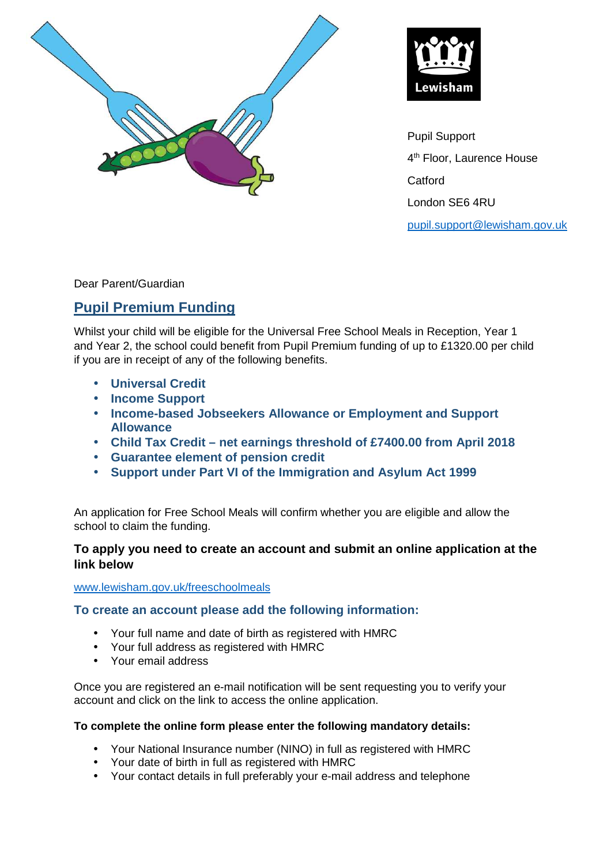



Pupil Support 4 th Floor, Laurence House **Catford** London SE6 4RU pupil.support@lewisham.gov.uk

Dear Parent/Guardian

# **Pupil Premium Funding**

Whilst your child will be eligible for the Universal Free School Meals in Reception, Year 1 and Year 2, the school could benefit from Pupil Premium funding of up to £1320.00 per child if you are in receipt of any of the following benefits.

- **Universal Credit**
- **Income Support**
- **Income-based Jobseekers Allowance or Employment and Support Allowance**
- **Child Tax Credit net earnings threshold of £7400.00 from April 2018**
- **Guarantee element of pension credit**
- **Support under Part VI of the Immigration and Asylum Act 1999**

An application for Free School Meals will confirm whether you are eligible and allow the school to claim the funding.

## **To apply you need to create an account and submit an online application at the link below**

#### www.lewisham.gov.uk/freeschoolmeals

### **To create an account please add the following information:**

- Your full name and date of birth as registered with HMRC
- Your full address as registered with HMRC
- Your email address

Once you are registered an e-mail notification will be sent requesting you to verify your account and click on the link to access the online application.

#### **To complete the online form please enter the following mandatory details:**

- Your National Insurance number (NINO) in full as registered with HMRC
- Your date of birth in full as registered with HMRC
- Your contact details in full preferably your e-mail address and telephone